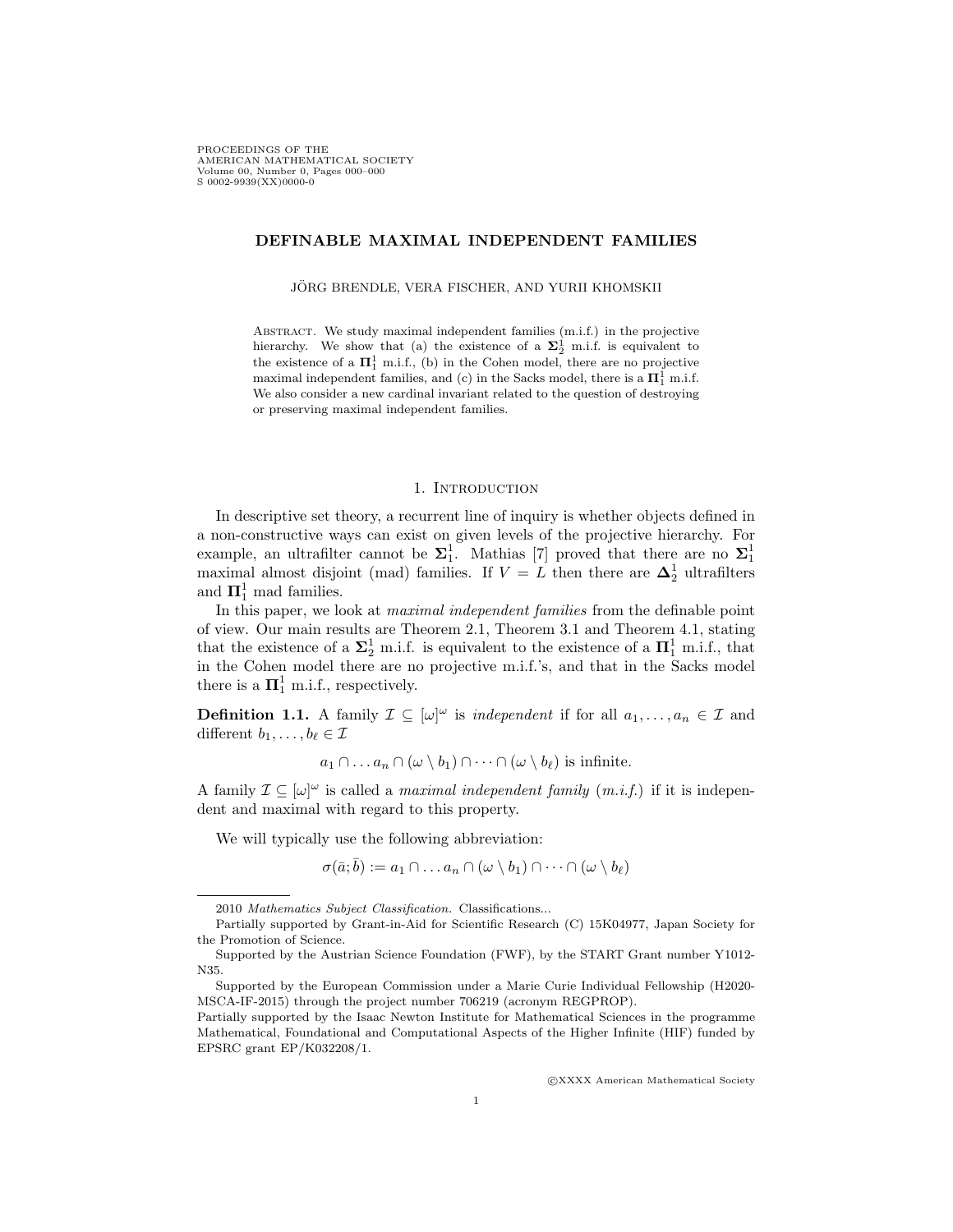PROCEEDINGS OF THE AMERICAN MATHEMATICAL SOCIETY Volume 00, Number 0, Pages 000–000 S 0002-9939(XX)0000-0

## DEFINABLE MAXIMAL INDEPENDENT FAMILIES

JORG BRENDLE, VERA FISCHER, AND YURII KHOMSKII ¨

Abstract. We study maximal independent families (m.i.f.) in the projective hierarchy. We show that (a) the existence of a  $\Sigma^1_2$  m.i.f. is equivalent to the existence of a  $\mathbf{\Pi}^1_1$  m.i.f., (b) in the Cohen model, there are no projective maximal independent families, and (c) in the Sacks model, there is a  $\Pi^1_1$  m.i.f. We also consider a new cardinal invariant related to the question of destroying or preserving maximal independent families.

## 1. INTRODUCTION

In descriptive set theory, a recurrent line of inquiry is whether objects defined in a non-constructive ways can exist on given levels of the projective hierarchy. For example, an ultrafilter cannot be  $\Sigma_1^1$ . Mathias [7] proved that there are no  $\Sigma_1^1$ maximal almost disjoint (mad) families. If  $V = L$  then there are  $\Delta_2^1$  ultrafilters and  $\mathbf{\Pi}^1_1$  mad families.

In this paper, we look at *maximal independent families* from the definable point of view. Our main results are Theorem 2.1, Theorem 3.1 and Theorem 4.1, stating that the existence of a  $\Sigma_2^1$  m.i.f. is equivalent to the existence of a  $\Pi_1^1$  m.i.f., that in the Cohen model there are no projective m.i.f.'s, and that in the Sacks model there is a  $\mathbf{\Pi}^1_1$  m.i.f., respectively.

**Definition 1.1.** A family  $\mathcal{I} \subseteq [\omega]^\omega$  is *independent* if for all  $a_1, \ldots, a_n \in \mathcal{I}$  and different  $b_1, \ldots, b_\ell \in \mathcal{I}$ 

$$
a_1 \cap \ldots a_n \cap (\omega \setminus b_1) \cap \cdots \cap (\omega \setminus b_\ell)
$$
 is infinite.

A family  $\mathcal{I} \subseteq [\omega]^\omega$  is called a *maximal independent family*  $(m.i.f.)$  if it is independent and maximal with regard to this property.

We will typically use the following abbreviation:

 $\sigma(\bar{a}; \bar{b}) := a_1 \cap \ldots a_n \cap (\omega \setminus b_1) \cap \cdots \cap (\omega \setminus b_\ell)$ 

c XXXX American Mathematical Society

<sup>2010</sup> Mathematics Subject Classification. Classifications...

Partially supported by Grant-in-Aid for Scientific Research (C) 15K04977, Japan Society for the Promotion of Science.

Supported by the Austrian Science Foundation (FWF), by the START Grant number Y1012- N35.

Supported by the European Commission under a Marie Curie Individual Fellowship (H2020- MSCA-IF-2015) through the project number 706219 (acronym REGPROP).

Partially supported by the Isaac Newton Institute for Mathematical Sciences in the programme Mathematical, Foundational and Computational Aspects of the Higher Infinite (HIF) funded by EPSRC grant EP/K032208/1.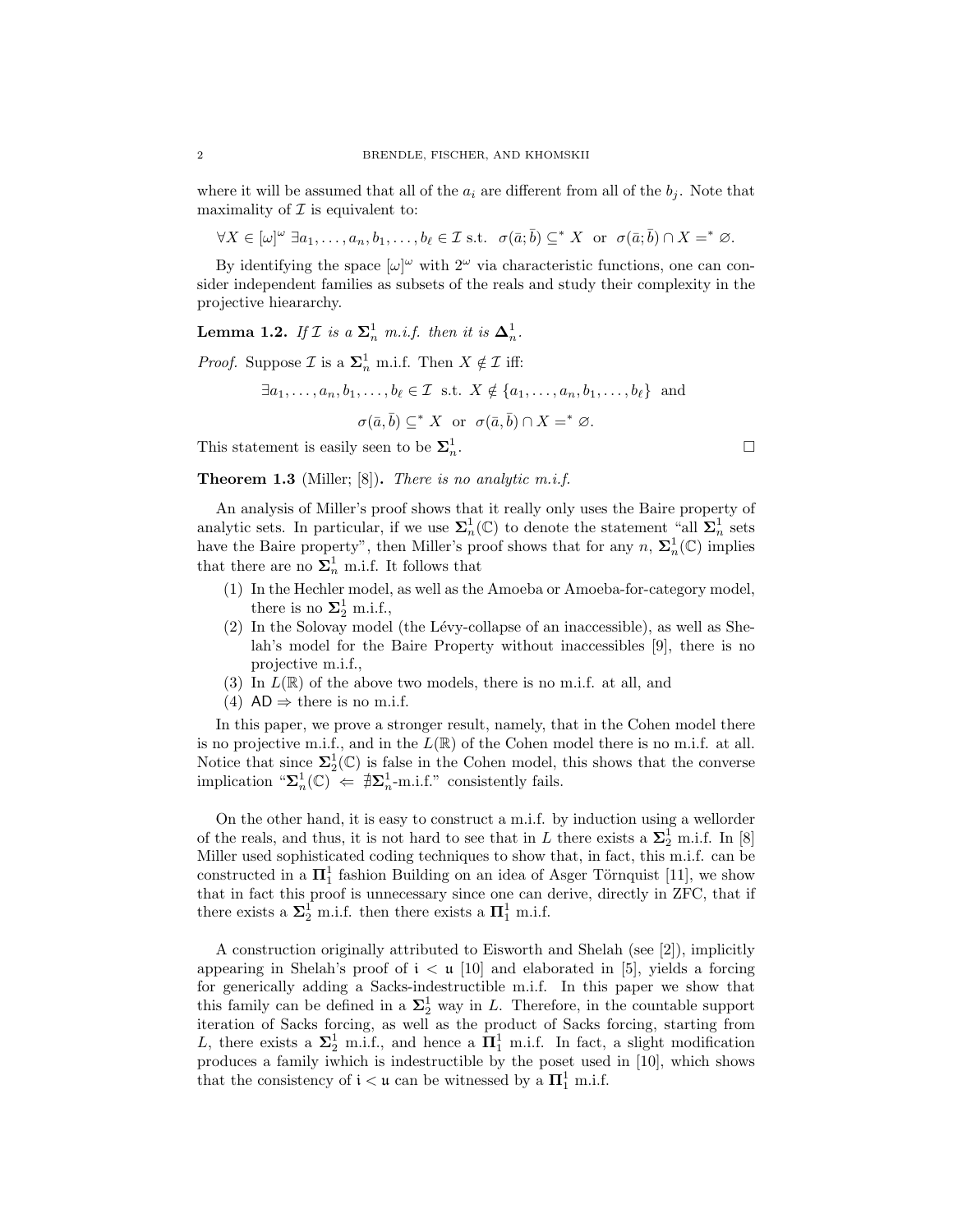where it will be assumed that all of the  $a_i$  are different from all of the  $b_i$ . Note that maximality of  $\mathcal I$  is equivalent to:

 $\forall X \in [\omega]^\omega \; \exists a_1, \ldots, a_n, b_1, \ldots, b_\ell \in \mathcal{I} \text{ s.t. } \sigma(\bar{a}; \bar{b}) \subseteq^* X \text{ or } \sigma(\bar{a}; \bar{b}) \cap X =^* \varnothing.$ 

By identifying the space  $[\omega]^\omega$  with  $2^\omega$  via characteristic functions, one can consider independent families as subsets of the reals and study their complexity in the projective hieararchy.

**Lemma 1.2.** If  $\mathcal{I}$  is a  $\Sigma_n^1$  m.i.f. then it is  $\Delta_n^1$ .

*Proof.* Suppose  $\mathcal{I}$  is a  $\Sigma_n^1$  m.i.f. Then  $X \notin \mathcal{I}$  iff:

$$
\exists a_1, \dots, a_n, b_1, \dots, b_\ell \in \mathcal{I} \text{ s.t. } X \notin \{a_1, \dots, a_n, b_1, \dots, b_\ell\} \text{ and}
$$

$$
\sigma(\bar{a}, \bar{b}) \subseteq^* X \text{ or } \sigma(\bar{a}, \bar{b}) \cap X =^* \varnothing.
$$

This statement is easily seen to be  $\Sigma^1_n$ 

**Theorem 1.3** (Miller; [8]). There is no analytic m.i.f.

An analysis of Miller's proof shows that it really only uses the Baire property of analytic sets. In particular, if we use  $\Sigma_n^1(\mathbb{C})$  to denote the statement "all  $\Sigma_n^1$  sets have the Baire property", then Miller's proof shows that for any  $n, \Sigma_n^1(\mathbb{C})$  implies that there are no  $\Sigma^1_n$  m.i.f. It follows that

- (1) In the Hechler model, as well as the Amoeba or Amoeba-for-category model, there is no  $\Sigma^1_2$  m.i.f.,
- $(2)$  In the Solovay model (the Lévy-collapse of an inaccessible), as well as Shelah's model for the Baire Property without inaccessibles [9], there is no projective m.i.f.,
- (3) In  $L(\mathbb{R})$  of the above two models, there is no m.i.f. at all, and
- (4)  $AD \Rightarrow$  there is no m.i.f.

In this paper, we prove a stronger result, namely, that in the Cohen model there is no projective m.i.f., and in the  $L(\mathbb{R})$  of the Cohen model there is no m.i.f. at all. Notice that since  $\Sigma_2^1(\mathbb{C})$  is false in the Cohen model, this shows that the converse implication " $\Sigma_n^1(\mathbb{C}) \Leftarrow \exists \Sigma_n^1$ -m.i.f." consistently fails.

On the other hand, it is easy to construct a m.i.f. by induction using a wellorder of the reals, and thus, it is not hard to see that in L there exists a  $\Sigma_2^1$  m.i.f. In [8] Miller used sophisticated coding techniques to show that, in fact, this m.i.f. can be constructed in a  $\mathbf{\Pi}^1_1$  fashion Building on an idea of Asger Törnquist [11], we show that in fact this proof is unnecessary since one can derive, directly in ZFC, that if there exists a  $\Sigma^1_2$  m.i.f. then there exists a  $\Pi^1_1$  m.i.f.

A construction originally attributed to Eisworth and Shelah (see [2]), implicitly appearing in Shelah's proof of  $i < \mu$  [10] and elaborated in [5], yields a forcing for generically adding a Sacks-indestructible m.i.f. In this paper we show that this family can be defined in a  $\Sigma^1_2$  way in L. Therefore, in the countable support iteration of Sacks forcing, as well as the product of Sacks forcing, starting from L, there exists a  $\Sigma^1_2$  m.i.f., and hence a  $\Pi^1_1$  m.i.f. In fact, a slight modification produces a family iwhich is indestructible by the poset used in [10], which shows that the consistency of  $\mathfrak{i} < \mathfrak{u}$  can be witnessed by a  $\boldsymbol{\Pi}^1_1$  m.i.f.

.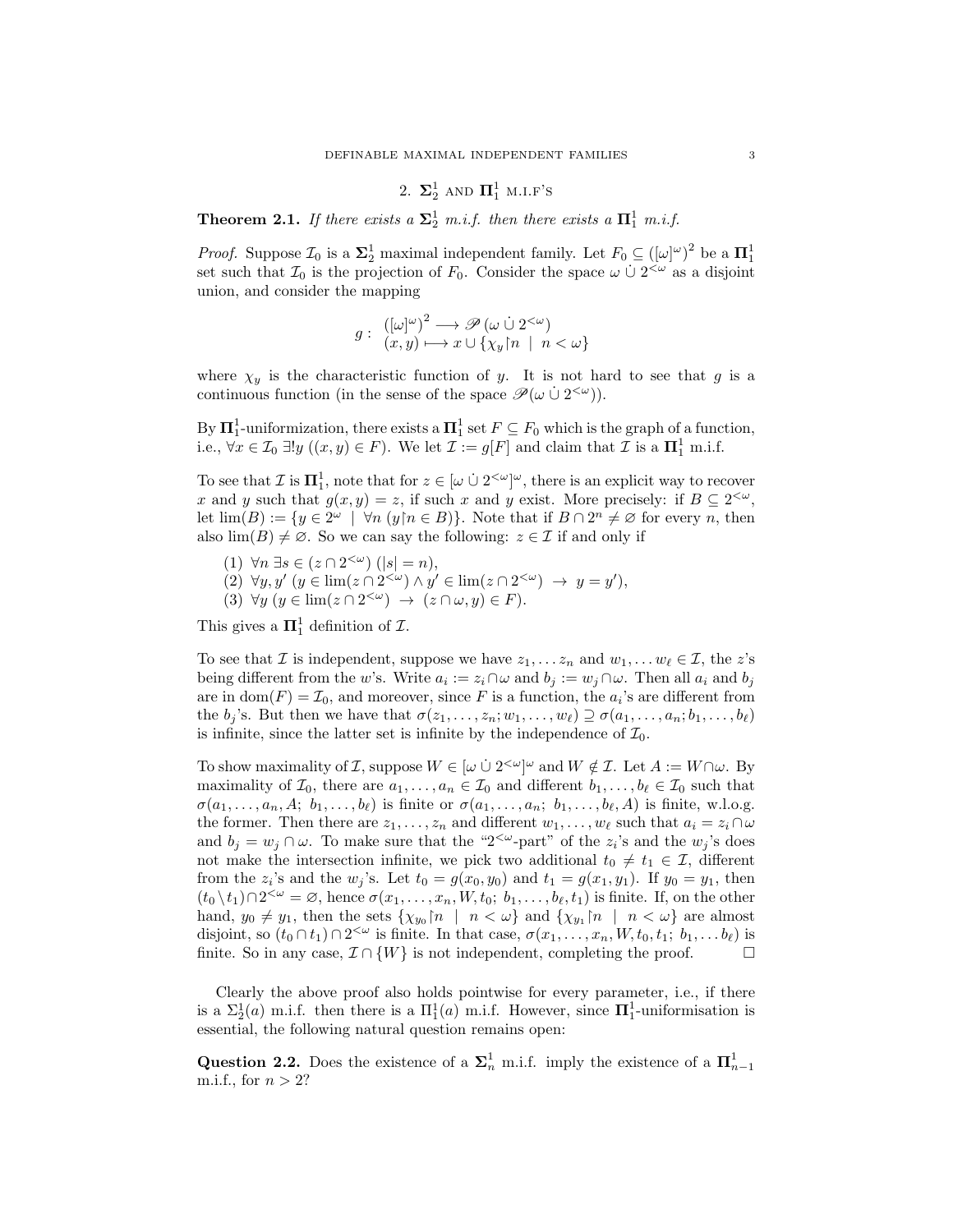# 2.  $\Sigma^1_2$  and  $\Pi^1_1$  m.i.f's

**Theorem 2.1.** If there exists a  $\Sigma^1_2$  m.i.f. then there exists a  $\Pi^1_1$  m.i.f.

*Proof.* Suppose  $\mathcal{I}_0$  is a  $\Sigma_2^1$  maximal independent family. Let  $F_0 \subseteq (\omega^\omega)^\omega$  be a  $\Pi_1^1$ set such that  $\mathcal{I}_0$  is the projection of  $F_0$ . Consider the space  $\omega \cup 2^{\langle \omega \rangle}$  as a disjoint union, and consider the mapping

$$
g: \ \ \substack{([\omega]^\omega)^2 \longrightarrow \mathscr{P}(\omega \cup 2^{<\omega}) \\ (x, y) \longmapsto x \cup \{\chi_y \mid n \ | \ n < \omega\}}
$$

where  $\chi_y$  is the characteristic function of y. It is not hard to see that g is a continuous function (in the sense of the space  $\mathscr{P}(\omega \cup 2^{<\omega})$ ).

By  $\mathbf{\Pi}^1_1$ -uniformization, there exists a  $\mathbf{\Pi}^1_1$  set  $F \subseteq F_0$  which is the graph of a function, i.e.,  $\forall x \in \mathcal{I}_0 \exists ! y \ ((x, y) \in F)$ . We let  $\mathcal{I} := g[F]$  and claim that  $\mathcal{I}$  is a  $\mathbf{\Pi}^1_1$  m.i.f.

To see that  $\mathcal{I}$  is  $\mathbf{\Pi}^1_1$ , note that for  $z \in [\omega \cup 2^{\langle \omega \rangle}]^{\omega}$ , there is an explicit way to recover x and y such that  $g(x, y) = z$ , if such x and y exist. More precisely: if  $B \subseteq 2^{<\omega}$ , let  $\lim(B) := \{y \in 2^{\omega} \mid \forall n \ (y \nmid n \in B)\}\.$  Note that if  $B \cap 2^{n} \neq \emptyset$  for every n, then also  $\lim(B) \neq \emptyset$ . So we can say the following:  $z \in \mathcal{I}$  if and only if

- (1)  $\forall n \exists s \in (z \cap 2^{\langle \omega \rangle})(|s| = n),$
- (2)  $\forall y, y' \ (y \in \lim(z \cap 2^{\langle \omega \rangle}) \land y' \in \lim(z \cap 2^{\langle \omega \rangle}) \rightarrow y = y'),$
- (3)  $\forall y \ (y \in \lim(z \cap 2^{\langle \omega \rangle}) \ \to \ (z \cap \omega, y) \in F).$

This gives a  $\Pi_1^1$  definition of  $\mathcal{I}$ .

To see that *I* is independent, suppose we have  $z_1, \ldots z_n$  and  $w_1, \ldots w_\ell \in \mathcal{I}$ , the z's being different from the w's. Write  $a_i := z_i \cap \omega$  and  $b_j := w_j \cap \omega$ . Then all  $a_i$  and  $b_j$ are in  $dom(F) = \mathcal{I}_0$ , and moreover, since F is a function, the  $a_i$ 's are different from the  $b_j$ 's. But then we have that  $\sigma(z_1, \ldots, z_n; w_1, \ldots, w_\ell) \supseteq \sigma(a_1, \ldots, a_n; b_1, \ldots, b_\ell)$ is infinite, since the latter set is infinite by the independence of  $\mathcal{I}_0$ .

To show maximality of *I*, suppose  $W \in [\omega \cup 2^{\langle \omega \rangle}]^{\omega}$  and  $W \notin \mathcal{I}$ . Let  $A := W \cap \omega$ . By maximality of  $\mathcal{I}_0$ , there are  $a_1, \ldots, a_n \in \mathcal{I}_0$  and different  $b_1, \ldots, b_\ell \in \mathcal{I}_0$  such that  $\sigma(a_1, \ldots, a_n, A; b_1, \ldots, b_\ell)$  is finite or  $\sigma(a_1, \ldots, a_n; b_1, \ldots, b_\ell, A)$  is finite, w.l.o.g. the former. Then there are  $z_1, \ldots, z_n$  and different  $w_1, \ldots, w_\ell$  such that  $a_i = z_i \cap \omega$ and  $b_j = w_j \cap \omega$ . To make sure that the "2<sup>< $\omega$ </sup>-part" of the  $z_i$ 's and the  $w_j$ 's does not make the intersection infinite, we pick two additional  $t_0 \neq t_1 \in \mathcal{I}$ , different from the  $z_i$ 's and the  $w_j$ 's. Let  $t_0 = g(x_0, y_0)$  and  $t_1 = g(x_1, y_1)$ . If  $y_0 = y_1$ , then  $(t_0 \setminus t_1) \cap 2^{<\omega} = \varnothing$ , hence  $\sigma(x_1, \ldots, x_n, W, t_0; b_1, \ldots, b_\ell, t_1)$  is finite. If, on the other hand,  $y_0 \neq y_1$ , then the sets  $\{\chi_{y_0}[n] \mid n < \omega\}$  and  $\{\chi_{y_1}[n] \mid n < \omega\}$  are almost disjoint, so  $(t_0 \cap t_1) \cap 2^{\langle \omega \rangle}$  is finite. In that case,  $\sigma(x_1, \ldots, x_n, W, t_0, t_1; b_1, \ldots, b_\ell)$  is finite. So in any case,  $\mathcal{I} \cap \{W\}$  is not independent, completing the proof.

Clearly the above proof also holds pointwise for every parameter, i.e., if there is a  $\Sigma_2^1(a)$  m.i.f. then there is a  $\Pi_1^1(a)$  m.i.f. However, since  $\Pi_1^1$ -uniformisation is essential, the following natural question remains open:

Question 2.2. Does the existence of a  $\Sigma_n^1$  m.i.f. imply the existence of a  $\Pi_{n-1}^1$ m.i.f., for  $n > 2$ ?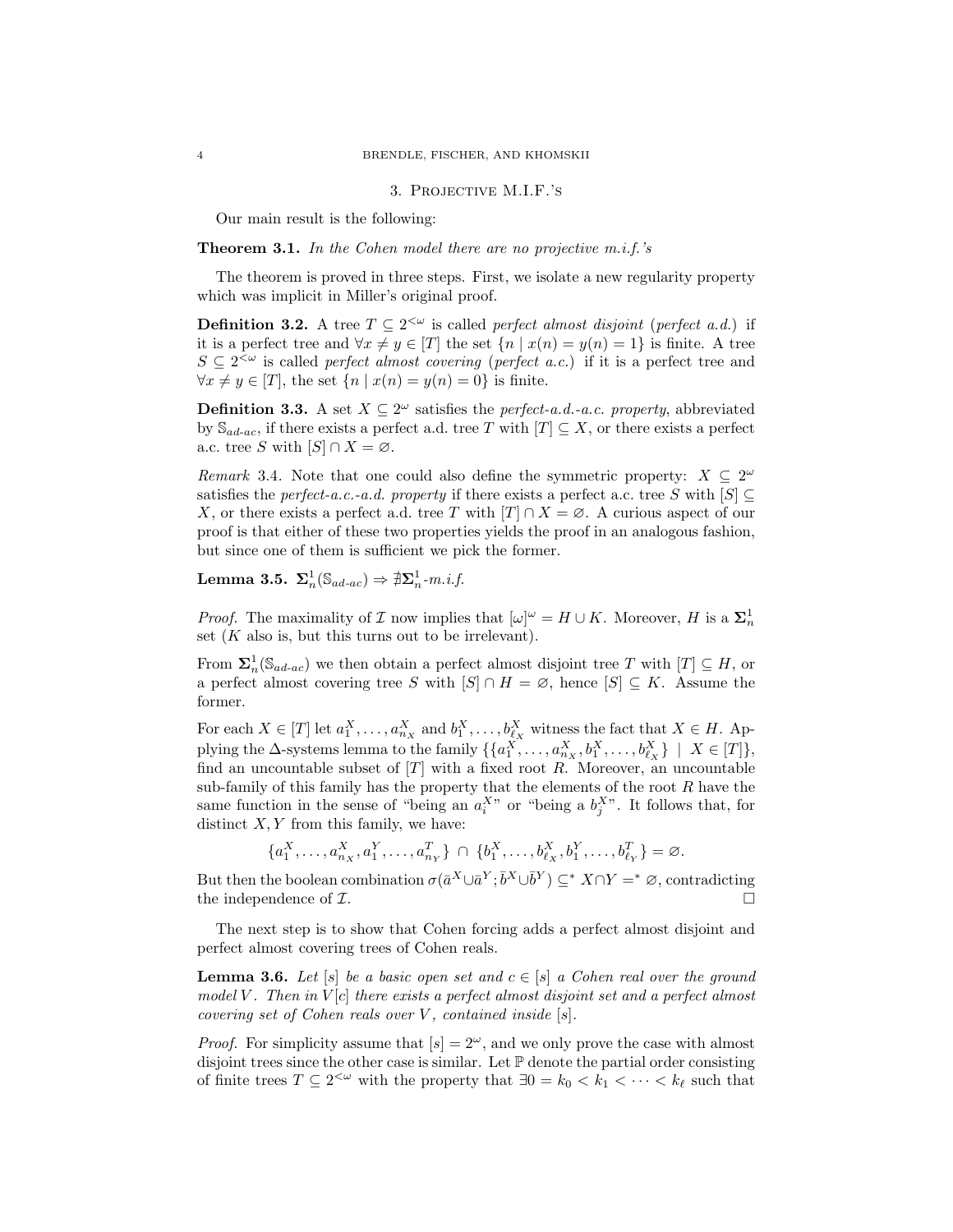#### 3. Projective M.I.F.'s

Our main result is the following:

### **Theorem 3.1.** In the Cohen model there are no projective  $m.i.f.'s$

The theorem is proved in three steps. First, we isolate a new regularity property which was implicit in Miller's original proof.

**Definition 3.2.** A tree  $T \subseteq 2^{\lt \omega}$  is called perfect almost disjoint (perfect a.d.) if it is a perfect tree and  $\forall x \neq y \in [T]$  the set  $\{n \mid x(n) = y(n) = 1\}$  is finite. A tree  $S \subseteq 2^{\lt \omega}$  is called *perfect almost covering (perfect a.c.)* if it is a perfect tree and  $\forall x \neq y \in [T]$ , the set  $\{n \mid x(n) = y(n) = 0\}$  is finite.

**Definition 3.3.** A set  $X \subseteq 2^{\omega}$  satisfies the *perfect-a.d.-a.c. property*, abbreviated by  $\mathcal{S}_{ad-ac}$ , if there exists a perfect a.d. tree T with  $[T] \subseteq X$ , or there exists a perfect a.c. tree S with  $[S] \cap X = \emptyset$ .

Remark 3.4. Note that one could also define the symmetric property:  $X \subseteq 2^{\omega}$ satisfies the *perfect-a.c.-a.d. property* if there exists a perfect a.c. tree S with  $[S] \subseteq$ X, or there exists a perfect a.d. tree T with  $[T] \cap X = \emptyset$ . A curious aspect of our proof is that either of these two properties yields the proof in an analogous fashion, but since one of them is sufficient we pick the former.

Lemma 3.5.  ${\boldsymbol \Sigma}^1_n(\mathbb{S}_{ad\text{-}ac}) \Rightarrow \nexists {\boldsymbol \Sigma}^1_n \text{-}m.i.f.$ 

*Proof.* The maximality of  $\mathcal I$  now implies that  $[\omega]^\omega = H \cup K$ . Moreover, H is a  $\Sigma_n^1$ set  $(K$  also is, but this turns out to be irrelevant).

From  $\Sigma_n^1(\mathbb{S}_{ad\text{-}ac})$  we then obtain a perfect almost disjoint tree T with  $[T] \subseteq H$ , or a perfect almost covering tree S with  $[S] \cap H = \emptyset$ , hence  $[S] \subseteq K$ . Assume the former.

For each  $X \in [T]$  let  $a_1^X, \ldots, a_{n_X}^X$  and  $b_1^X, \ldots, b_{\ell_X}^X$  witness the fact that  $X \in H$ . Applying the  $\Delta$ -systems lemma to the family  $\{\{a_1^X, \ldots, a_{n_X}^X, b_1^X, \ldots, b_{\ell_X}^X\} \mid X \in [T]\},$ find an uncountable subset of  $[T]$  with a fixed root  $R$ . Moreover, an uncountable sub-family of this family has the property that the elements of the root  $R$  have the same function in the sense of "being an  $a_i^{X^*}$  or "being a  $b_j^{X^*}$ . It follows that, for distinct  $X, Y$  from this family, we have:

$$
\{a_1^X, \dots, a_{n_X}^X, a_1^Y, \dots, a_{n_Y}^T\} \cap \{b_1^X, \dots, b_{\ell_X}^X, b_1^Y, \dots, b_{\ell_Y}^T\} = \varnothing.
$$

But then the boolean combination  $\sigma(\bar{a}^X \cup \bar{a}^Y; \bar{b}^X \cup \bar{b}^Y) \subseteq^* X \cap Y =^* \varnothing$ , contradicting the independence of  $\mathcal{I}$ .

The next step is to show that Cohen forcing adds a perfect almost disjoint and perfect almost covering trees of Cohen reals.

**Lemma 3.6.** Let  $[s]$  be a basic open set and  $c \in [s]$  a Cohen real over the ground model V. Then in  $V[c]$  there exists a perfect almost disjoint set and a perfect almost covering set of Cohen reals over  $V$ , contained inside  $[s]$ .

*Proof.* For simplicity assume that  $[s] = 2^{\omega}$ , and we only prove the case with almost disjoint trees since the other case is similar. Let  $\mathbb P$  denote the partial order consisting of finite trees  $T \subseteq 2^{\lt \omega}$  with the property that  $\exists 0 = k_0 < k_1 < \cdots < k_\ell$  such that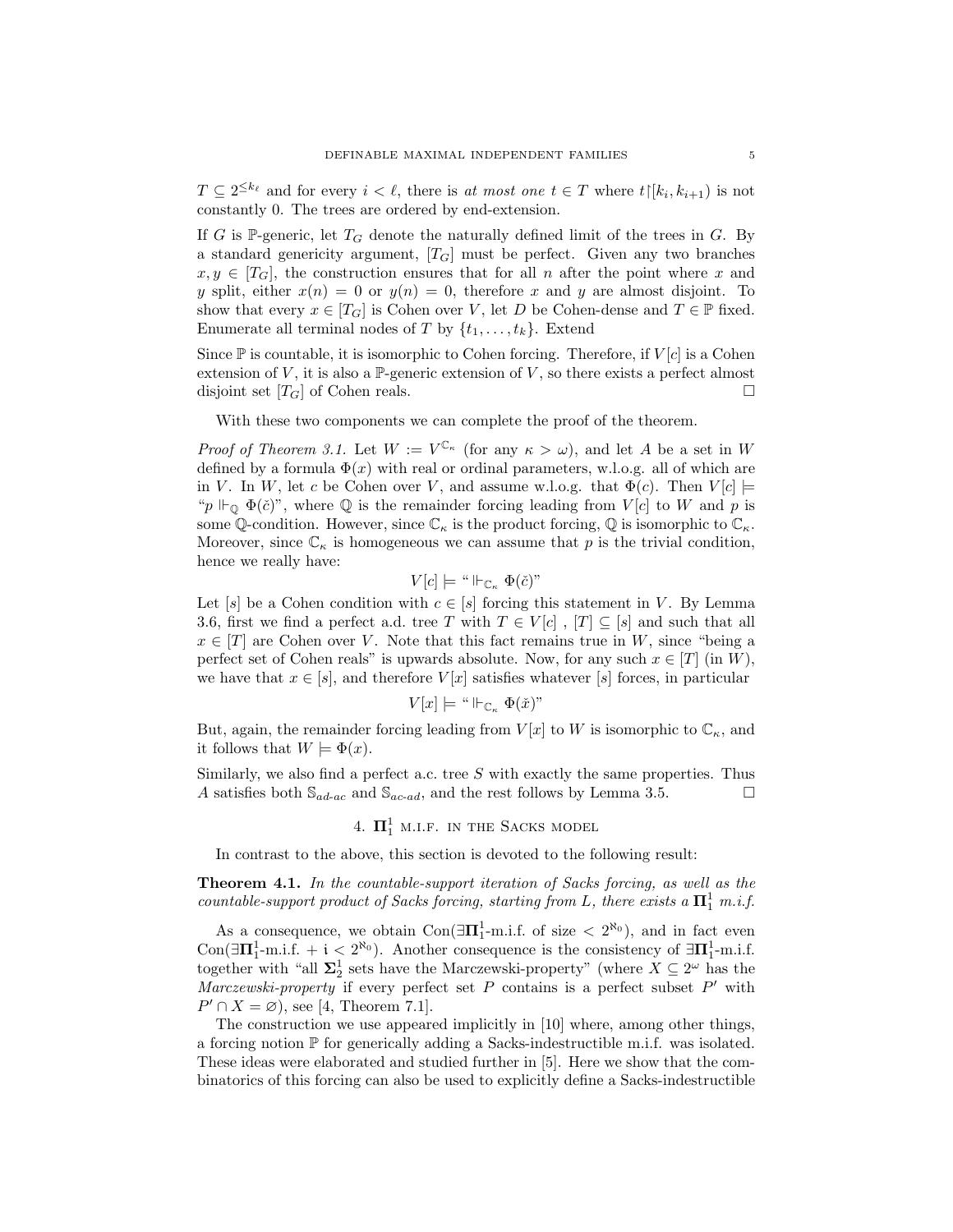$T \subseteq 2^{\leq k_{\ell}}$  and for every  $i < \ell$ , there is at most one  $t \in T$  where  $t \mid [k_i, k_{i+1})$  is not constantly 0. The trees are ordered by end-extension.

If G is P-generic, let  $T_G$  denote the naturally defined limit of the trees in G. By a standard genericity argument,  $[T_G]$  must be perfect. Given any two branches  $x, y \in [T_G]$ , the construction ensures that for all n after the point where x and y split, either  $x(n) = 0$  or  $y(n) = 0$ , therefore x and y are almost disjoint. To show that every  $x \in [T_G]$  is Cohen over V, let D be Cohen-dense and  $T \in \mathbb{P}$  fixed. Enumerate all terminal nodes of T by  $\{t_1, \ldots, t_k\}$ . Extend

Since  $\mathbb P$  is countable, it is isomorphic to Cohen forcing. Therefore, if  $V[c]$  is a Cohen extension of V, it is also a  $\mathbb{P}$ -generic extension of V, so there exists a perfect almost disjoint set  $[T_G]$  of Cohen reals.

With these two components we can complete the proof of the theorem.

*Proof of Theorem 3.1.* Let  $W := V^{\mathbb{C}_{\kappa}}$  (for any  $\kappa > \omega$ ), and let A be a set in W defined by a formula  $\Phi(x)$  with real or ordinal parameters, w.l.o.g. all of which are in V. In W, let c be Cohen over V, and assume w.l.o.g. that  $\Phi(c)$ . Then  $V[c] \models$ " $p \Vdash_{\mathbb{Q}} \Phi(\check{c})$ ", where  $\mathbb Q$  is the remainder forcing leading from  $V[c]$  to W and p is some Q-condition. However, since  $\mathbb{C}_{\kappa}$  is the product forcing, Q is isomorphic to  $\mathbb{C}_{\kappa}$ . Moreover, since  $\mathbb{C}_{\kappa}$  is homogeneous we can assume that p is the trivial condition, hence we really have:

$$
V[c]\models ``\Vdash_{\mathbb{C}_\kappa} \Phi(\check{c})"
$$

Let  $[s]$  be a Cohen condition with  $c \in [s]$  forcing this statement in V. By Lemma 3.6, first we find a perfect a.d. tree T with  $T \in V[c]$ ,  $[T] \subseteq [s]$  and such that all  $x \in [T]$  are Cohen over V. Note that this fact remains true in W, since "being a perfect set of Cohen reals" is upwards absolute. Now, for any such  $x \in [T]$  (in W), we have that  $x \in [s]$ , and therefore  $V[x]$  satisfies whatever [s] forces, in particular

$$
V[x]\models ``\Vdash_{\mathbb{C}_\kappa} \Phi(\check x)"
$$

But, again, the remainder forcing leading from  $V[x]$  to W is isomorphic to  $\mathbb{C}_{\kappa}$ , and it follows that  $W \models \Phi(x)$ .

Similarly, we also find a perfect a.c. tree  $S$  with exactly the same properties. Thus A satisfies both  $\mathbb{S}_{ad-ac}$  and  $\mathbb{S}_{ac-ad}$ , and the rest follows by Lemma 3.5.

# 4.  $\Pi_1^1$  m.i.f. in the Sacks model

In contrast to the above, this section is devoted to the following result:

Theorem 4.1. In the countable-support iteration of Sacks forcing, as well as the countable-support product of Sacks forcing, starting from L, there exists a  $\mathbf{\Pi}^1_1$  m.i.f.

As a consequence, we obtain  $Con(\exists \Pi_1^1 \text{-m.i.f. of size } < 2^{\aleph_0})$ , and in fact even Con( $\exists \Pi_1^1$ -m.i.f. + i <  $2^{\aleph_0}$ ). Another consequence is the consistency of  $\exists \Pi_1^1$ -m.i.f. together with "all  $\Sigma_2^1$  sets have the Marczewski-property" (where  $X \subseteq 2^\omega$  has the Marczewski-property if every perfect set  $P$  contains is a perfect subset  $P'$  with  $P' \cap X = \emptyset$ , see [4, Theorem 7.1].

The construction we use appeared implicitly in [10] where, among other things, a forcing notion  $\mathbb P$  for generically adding a Sacks-indestructible m.i.f. was isolated. These ideas were elaborated and studied further in [5]. Here we show that the combinatorics of this forcing can also be used to explicitly define a Sacks-indestructible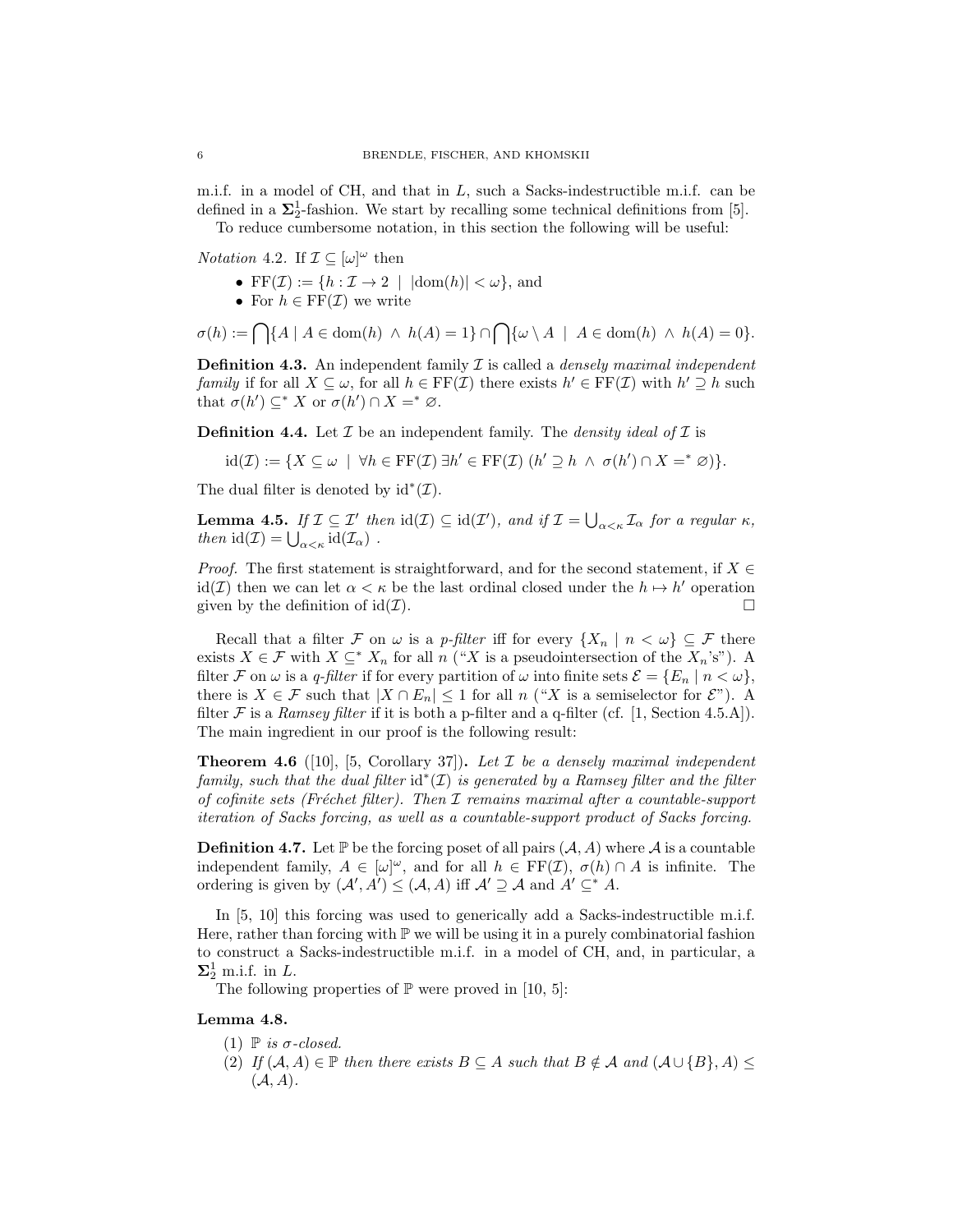m.i.f. in a model of CH, and that in  $L$ , such a Sacks-indestructible m.i.f. can be defined in a  $\Sigma^1_2$ -fashion. We start by recalling some technical definitions from [5].

To reduce cumbersome notation, in this section the following will be useful:

*Notation* 4.2. If  $\mathcal{I} \subseteq [\omega]^\omega$  then

- FF( $\mathcal{I}$ ) := { $h : \mathcal{I} \to 2$  |  $|\text{dom}(h)| < \omega$ }, and
- For  $h \in \mathrm{FF}(\mathcal{I})$  we write

 $\sigma(h) := \bigcap \{A \mid A \in \text{dom}(h) \land h(A) = 1\} \cap \bigcap \{\omega \setminus A \mid A \in \text{dom}(h) \land h(A) = 0\}.$ 

**Definition 4.3.** An independent family  $\mathcal I$  is called a *densely maximal independent* family if for all  $X \subseteq \omega$ , for all  $h \in \mathrm{FF}(\mathcal{I})$  there exists  $h' \in \mathrm{FF}(\mathcal{I})$  with  $h' \supseteq h$  such that  $\sigma(h') \subseteq^* X$  or  $\sigma(h') \cap X =^* \varnothing$ .

**Definition 4.4.** Let  $\mathcal I$  be an independent family. The *density ideal of*  $\mathcal I$  is

$$
\mathrm{id}(\mathcal{I}) := \{ X \subseteq \omega \mid \forall h \in \mathrm{FF}(\mathcal{I}) \exists h' \in \mathrm{FF}(\mathcal{I}) \ (h' \supseteq h \ \wedge \ \sigma(h') \cap X =^* \varnothing) \}.
$$

The dual filter is denoted by  $id^*(\mathcal{I})$ .

**Lemma 4.5.** If  $\mathcal{I} \subseteq \mathcal{I}'$  then  $\text{id}(\mathcal{I}) \subseteq \text{id}(\mathcal{I}')$ , and if  $\mathcal{I} = \bigcup_{\alpha < \kappa} \mathcal{I}_{\alpha}$  for a regular  $\kappa$ , then  $\mathrm{id}(\mathcal{I}) = \bigcup_{\alpha < \kappa} \mathrm{id}(\mathcal{I}_{\alpha})$ .

*Proof.* The first statement is straightforward, and for the second statement, if  $X \in$ id(*I*) then we can let  $\alpha < \kappa$  be the last ordinal closed under the  $h \mapsto h'$  operation given by the definition of  $id(\mathcal{I})$ .

Recall that a filter F on  $\omega$  is a p-filter iff for every  $\{X_n \mid n < \omega\} \subseteq \mathcal{F}$  there exists  $X \in \mathcal{F}$  with  $X \subseteq^* X_n$  for all  $n$  ("X is a pseudointersection of the  $X_n$ 's"). A filter F on  $\omega$  is a q-filter if for every partition of  $\omega$  into finite sets  $\mathcal{E} = \{E_n \mid n < \omega\}$ , there is  $X \in \mathcal{F}$  such that  $|X \cap E_n| \leq 1$  for all  $n$  ("X is a semiselector for  $\mathcal{E}$ "). A filter F is a Ramsey filter if it is both a p-filter and a q-filter (cf. [1, Section 4.5.A]). The main ingredient in our proof is the following result:

**Theorem 4.6** ([10], [5, Corollary 37]). Let  $\mathcal I$  be a densely maximal independent family, such that the dual filter  $id^*(\mathcal{I})$  is generated by a Ramsey filter and the filter of cofinite sets (Fréchet filter). Then  $I$  remains maximal after a countable-support iteration of Sacks forcing, as well as a countable-support product of Sacks forcing.

**Definition 4.7.** Let  $\mathbb{P}$  be the forcing poset of all pairs  $(A, A)$  where A is a countable independent family,  $A \in [\omega]^{\omega}$ , and for all  $h \in FF(\mathcal{I}), \sigma(h) \cap A$  is infinite. The ordering is given by  $(A', A') \leq (A, A)$  iff  $A' \supseteq A$  and  $A' \subseteq^* A$ .

In [5, 10] this forcing was used to generically add a Sacks-indestructible m.i.f. Here, rather than forcing with  $\mathbb P$  we will be using it in a purely combinatorial fashion to construct a Sacks-indestructible m.i.f. in a model of CH, and, in particular, a  $\Sigma^1_2$  m.i.f. in L.

The following properties of  $\mathbb P$  were proved in [10, 5]:

#### Lemma 4.8.

- (1)  $\mathbb P$  is  $\sigma$ -closed.
- (2) If  $(A, A) \in \mathbb{P}$  then there exists  $B \subseteq A$  such that  $B \notin A$  and  $(A \cup \{B\}, A) \le$  $(A, A)$ .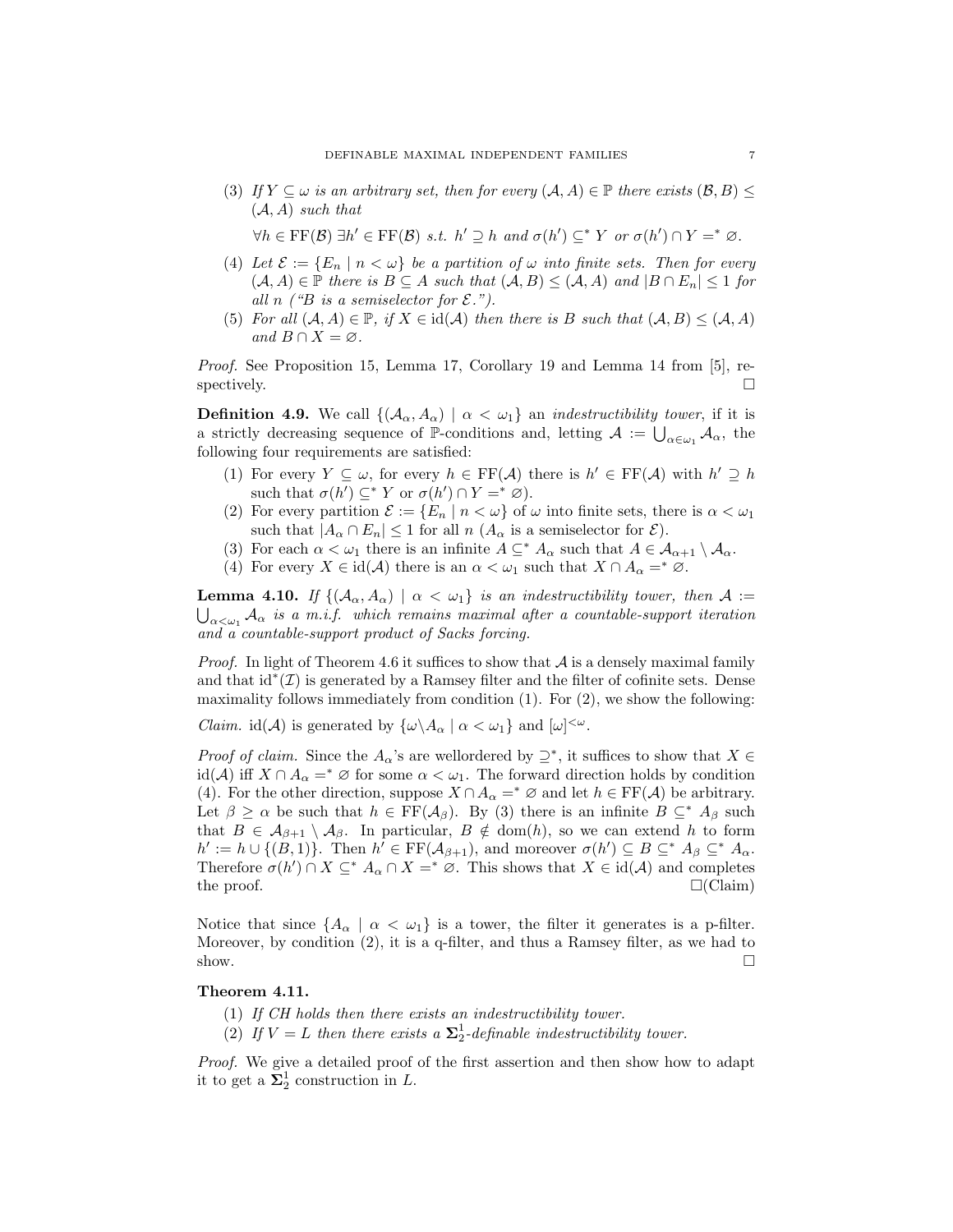(3) If  $Y \subseteq \omega$  is an arbitrary set, then for every  $(A, A) \in \mathbb{P}$  there exists  $(B, B) \leq$  $(A, A)$  such that

 $\forall h \in \text{FF}(\mathcal{B}) \exists h' \in \text{FF}(\mathcal{B}) \ s.t. \ h' \supseteq h \ and \ \sigma(h') \subseteq^* Y \ \ or \ \sigma(h') \cap Y =^* \varnothing.$ 

- (4) Let  $\mathcal{E} := \{E_n \mid n < \omega\}$  be a partition of  $\omega$  into finite sets. Then for every  $(A, A) \in \mathbb{P}$  there is  $B \subseteq A$  such that  $(A, B) \leq (A, A)$  and  $|B \cap E_n| \leq 1$  for all n  $\ell$  "B is a semiselector for  $\mathcal{E}$ .").
- (5) For all  $(A, A) \in \mathbb{P}$ , if  $X \in \text{id}(A)$  then there is B such that  $(A, B) \leq (A, A)$ and  $B \cap X = \emptyset$ .

Proof. See Proposition 15, Lemma 17, Corollary 19 and Lemma 14 from [5], respectively.  $\Box$ 

**Definition 4.9.** We call  $\{(\mathcal{A}_{\alpha}, \mathcal{A}_{\alpha}) \mid \alpha < \omega_1\}$  an *indestructibility tower*, if it is a strictly decreasing sequence of  $\mathbb{P}$ -conditions and, letting  $\mathcal{A} := \bigcup_{\alpha \in \omega_1} \mathcal{A}_{\alpha}$ , the following four requirements are satisfied:

- (1) For every  $Y \subseteq \omega$ , for every  $h \in FF(\mathcal{A})$  there is  $h' \in FF(\mathcal{A})$  with  $h' \supseteq h$ such that  $\sigma(h') \subseteq^* Y$  or  $\sigma(h') \cap Y =^* \varnothing$ ).
- (2) For every partition  $\mathcal{E} := \{E_n \mid n < \omega\}$  of  $\omega$  into finite sets, there is  $\alpha < \omega_1$ such that  $|A_{\alpha} \cap E_n| \leq 1$  for all  $n(A_{\alpha})$  is a semiselector for  $\mathcal{E}$ ).
- (3) For each  $\alpha < \omega_1$  there is an infinite  $A \subseteq^* A_\alpha$  such that  $A \in \mathcal{A}_{\alpha+1} \setminus \mathcal{A}_\alpha$ .
- (4) For every  $X \in \text{id}(\mathcal{A})$  there is an  $\alpha < \omega_1$  such that  $X \cap A_\alpha =^* \varnothing$ .

**Lemma 4.10.** If  $\{(\mathcal{A}_{\alpha}, \mathcal{A}_{\alpha}) \mid \alpha < \omega_1\}$  is an indestructibility tower, then  $\mathcal{A}$  :=  $\bigcup_{\alpha<\omega_1}\mathcal{A}_\alpha$  is a m.i.f. which remains maximal after a countable-support iteration and a countable-support product of Sacks forcing.

*Proof.* In light of Theorem 4.6 it suffices to show that  $A$  is a densely maximal family and that  $id^*(\mathcal{I})$  is generated by a Ramsey filter and the filter of cofinite sets. Dense maximality follows immediately from condition  $(1)$ . For  $(2)$ , we show the following:

*Claim.* id( $\mathcal{A}$ ) is generated by  $\{\omega \setminus A_{\alpha} \mid \alpha < \omega_1\}$  and  $[\omega]^{<\omega}$ .

*Proof of claim.* Since the  $A_{\alpha}$ 's are wellordered by  $\supseteq^*$ , it suffices to show that  $X \in$ id(A) iff  $X \cap A_\alpha =^* \varnothing$  for some  $\alpha < \omega_1$ . The forward direction holds by condition (4). For the other direction, suppose  $X \cap A_{\alpha} =^* \varnothing$  and let  $h \in \mathrm{FF}(\mathcal{A})$  be arbitrary. Let  $\beta \geq \alpha$  be such that  $h \in FF(\mathcal{A}_{\beta})$ . By (3) there is an infinite  $B \subseteq^* A_{\beta}$  such that  $B \in \mathcal{A}_{\beta+1} \setminus \mathcal{A}_{\beta}$ . In particular,  $B \notin \text{dom}(h)$ , so we can extend h to form  $h' := h \cup \{(B,1)\}\.$  Then  $h' \in FF(\mathcal{A}_{\beta+1})$ , and moreover  $\sigma(h') \subseteq B \subseteq^* A_\beta \subseteq^* A_\alpha$ . Therefore  $\sigma(h') \cap X \subseteq^* A_\alpha \cap X =^* \varnothing$ . This shows that  $X \in \text{id}(A)$  and completes the proof.  $\square$  (Claim)

Notice that since  ${A_{\alpha} \mid \alpha < \omega_1}$  is a tower, the filter it generates is a p-filter. Moreover, by condition (2), it is a q-filter, and thus a Ramsey filter, as we had to show.  $\square$ 

# Theorem 4.11.

- (1) If CH holds then there exists an indestructibility tower.
- (2) If  $V = L$  then there exists a  $\Sigma_2^1$ -definable indestructibility tower.

Proof. We give a detailed proof of the first assertion and then show how to adapt it to get a  $\Sigma_2^1$  construction in L.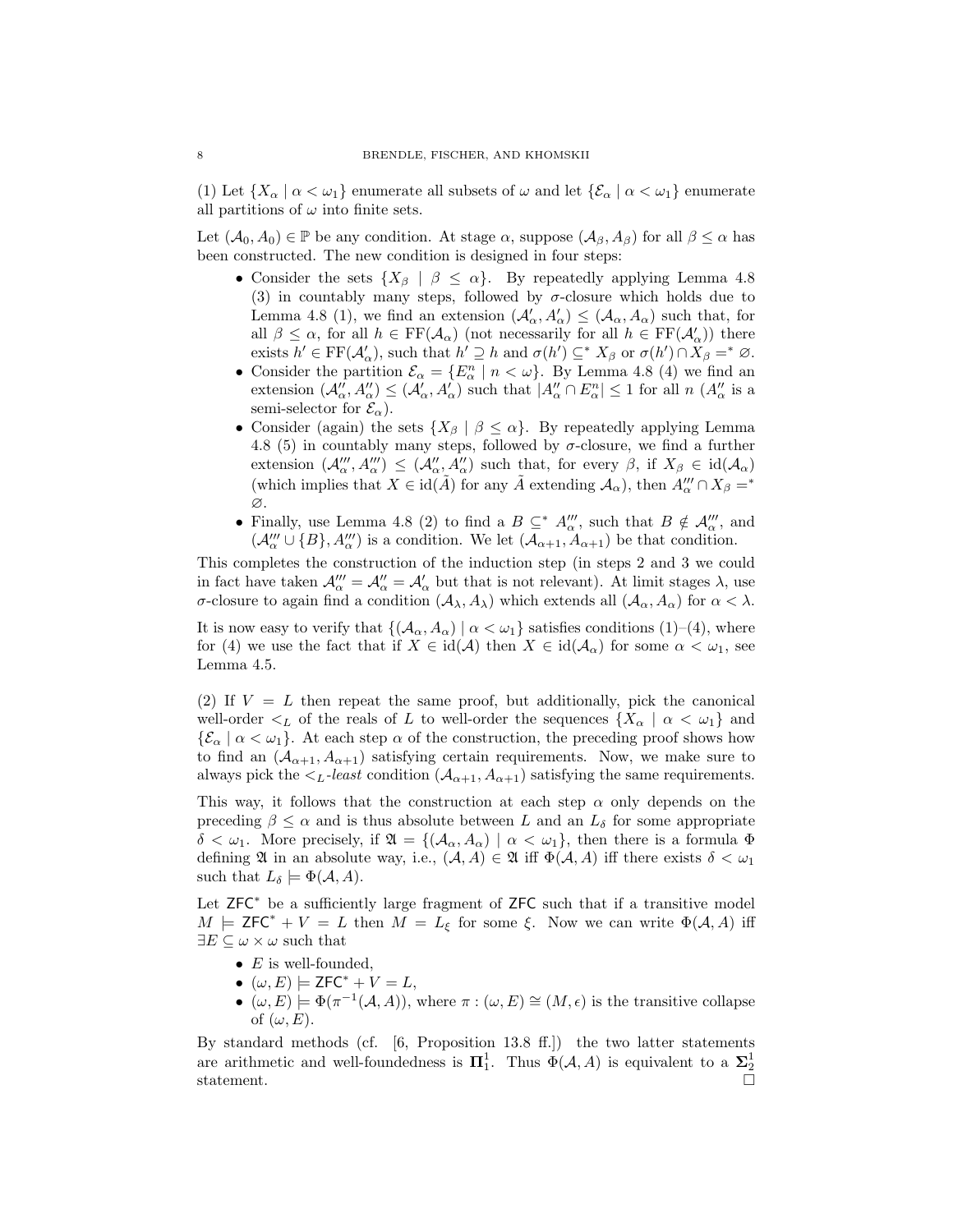(1) Let  $\{X_\alpha \mid \alpha < \omega_1\}$  enumerate all subsets of  $\omega$  and let  $\{\mathcal{E}_\alpha \mid \alpha < \omega_1\}$  enumerate all partitions of  $\omega$  into finite sets.

Let  $(\mathcal{A}_0, \mathcal{A}_0) \in \mathbb{P}$  be any condition. At stage  $\alpha$ , suppose  $(\mathcal{A}_{\beta}, \mathcal{A}_{\beta})$  for all  $\beta \leq \alpha$  has been constructed. The new condition is designed in four steps:

- Consider the sets  $\{X_\beta \mid \beta \leq \alpha\}$ . By repeatedly applying Lemma 4.8 (3) in countably many steps, followed by  $\sigma$ -closure which holds due to Lemma 4.8 (1), we find an extension  $(\mathcal{A}'_{\alpha}, A'_{\alpha}) \leq (\mathcal{A}_{\alpha}, A_{\alpha})$  such that, for all  $\beta \leq \alpha$ , for all  $h \in FF(\mathcal{A}_{\alpha})$  (not necessarily for all  $h \in FF(\mathcal{A}'_{\alpha})$ ) there exists  $h' \in \mathrm{FF}(\mathcal{A}'_{\alpha})$ , such that  $h' \supseteq h$  and  $\sigma(h') \subseteq^* X_{\beta}$  or  $\sigma(h') \cap X_{\beta} =^* \varnothing$ .
- Consider the partition  $\mathcal{E}_{\alpha} = \{E_{\alpha}^n \mid n < \omega\}$ . By Lemma 4.8 (4) we find an extension  $(\mathcal{A}''_{\alpha}, \mathcal{A}''_{\alpha}) \leq (\mathcal{A}'_{\alpha}, \mathcal{A}'_{\alpha})$  such that  $|\mathcal{A}''_{\alpha} \cap \mathcal{E}^{n}_{\alpha}| \leq 1$  for all  $n (\mathcal{A}''_{\alpha} \text{ is a})$ semi-selector for  $\mathcal{E}_{\alpha}$ ).
- Consider (again) the sets  $\{X_\beta \mid \beta \leq \alpha\}$ . By repeatedly applying Lemma 4.8 (5) in countably many steps, followed by  $\sigma$ -closure, we find a further extension  $(\mathcal{A}_{\alpha}''', \mathcal{A}_{\alpha}''') \leq (\mathcal{A}_{\alpha}'', \mathcal{A}_{\alpha}'')$  such that, for every  $\beta$ , if  $X_{\beta} \in \text{id}(\mathcal{A}_{\alpha})$ (which implies that  $X \in \text{id}(\tilde{A})$  for any  $\tilde{A}$  extending  $\mathcal{A}_{\alpha}$ ), then  $A'''_{\alpha} \cap X_{\beta} = *$ ∅.
- Finally, use Lemma 4.8 (2) to find a  $B \subseteq^* A'''_{\alpha}$ , such that  $B \notin A'''_{\alpha}$ , and  $(\mathcal{A}_{\alpha}''' \cup \{B\}, \mathcal{A}_{\alpha}'''')$  is a condition. We let  $(\mathcal{A}_{\alpha+1}, \overline{A}_{\alpha+1})$  be that condition.

This completes the construction of the induction step (in steps 2 and 3 we could in fact have taken  $\mathcal{A}_{\alpha}''' = \mathcal{A}_{\alpha}'' = \mathcal{A}_{\alpha}'$  but that is not relevant). At limit stages  $\lambda$ , use σ-closure to again find a condition  $(A_\lambda, A_\lambda)$  which extends all  $(A_\alpha, A_\alpha)$  for  $\alpha < \lambda$ .

It is now easy to verify that  $\{(\mathcal{A}_{\alpha}, \mathcal{A}_{\alpha}) \mid \alpha < \omega_1\}$  satisfies conditions (1)–(4), where for (4) we use the fact that if  $X \in \text{id}(\mathcal{A})$  then  $X \in \text{id}(\mathcal{A}_\alpha)$  for some  $\alpha < \omega_1$ , see Lemma 4.5.

(2) If  $V = L$  then repeat the same proof, but additionally, pick the canonical well-order  $\lt_L$  of the reals of L to well-order the sequences  $\{X_\alpha \mid \alpha < \omega_1\}$  and  ${\mathcal{E}_{\alpha} \mid \alpha < \omega_1}.$  At each step  $\alpha$  of the construction, the preceding proof shows how to find an  $(\mathcal{A}_{\alpha+1}, \mathcal{A}_{\alpha+1})$  satisfying certain requirements. Now, we make sure to always pick the  $\lt_L$ -least condition  $(\mathcal{A}_{\alpha+1}, \mathcal{A}_{\alpha+1})$  satisfying the same requirements.

This way, it follows that the construction at each step  $\alpha$  only depends on the preceding  $\beta \leq \alpha$  and is thus absolute between L and an  $L_{\delta}$  for some appropriate  $\delta < \omega_1$ . More precisely, if  $\mathfrak{A} = \{(\mathcal{A}_\alpha, \mathcal{A}_\alpha) \mid \alpha < \omega_1\}$ , then there is a formula  $\Phi$ defining  $\mathfrak A$  in an absolute way, i.e.,  $(\mathcal A, A) \in \mathfrak A$  iff  $\Phi(\mathcal A, A)$  iff there exists  $\delta < \omega_1$ such that  $L_{\delta} \models \Phi(\mathcal{A}, A)$ .

Let ZFC<sup>\*</sup> be a sufficiently large fragment of ZFC such that if a transitive model  $M \models \mathsf{ZFC}^* + V = L$  then  $M = L_{\xi}$  for some  $\xi$ . Now we can write  $\Phi(\mathcal{A}, A)$  iff  $\exists E \subseteq \omega \times \omega$  such that

- $E$  is well-founded,
- $(\omega, E) \models \mathsf{ZFC}^* + V = L$ ,
- $(\omega, E) \models \Phi(\pi^{-1}(\mathcal{A}, A)),$  where  $\pi : (\omega, E) \cong (M, \epsilon)$  is the transitive collapse of  $(\omega, E)$ .

By standard methods (cf. [6, Proposition 13.8 ff.]) the two latter statements are arithmetic and well-foundedness is  $\Pi_1^1$ . Thus  $\Phi(\mathcal{A}, A)$  is equivalent to a  $\Sigma_2^1$ statement.  $\Box$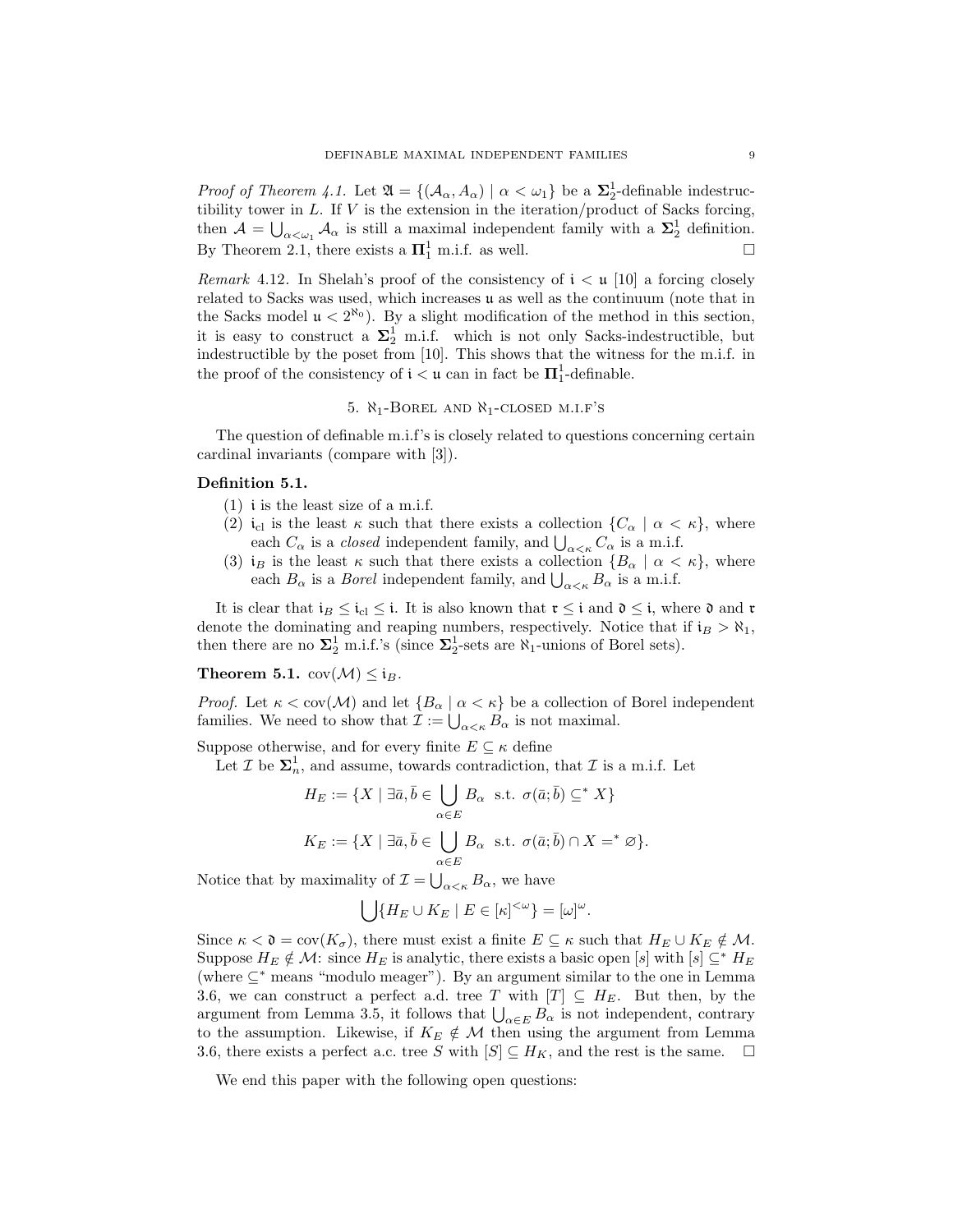*Proof of Theorem 4.1.* Let  $\mathfrak{A} = \{ (\mathcal{A}_{\alpha}, A_{\alpha}) \mid \alpha < \omega_1 \}$  be a  $\Sigma_2^1$ -definable indestructibility tower in  $L$ . If  $V$  is the extension in the iteration/product of Sacks forcing, then  $\mathcal{A} = \bigcup_{\alpha < \omega_1} \mathcal{A}_{\alpha}$  is still a maximal independent family with a  $\Sigma_2^1$  definition. By Theorem 2.1, there exists a  $\Pi_1^1$  m.i.f. as well.  $\Box$ 

*Remark* 4.12. In Shelah's proof of the consistency of  $i < \mu$  [10] a forcing closely related to Sacks was used, which increases u as well as the continuum (note that in the Sacks model  $\mu < 2^{\aleph_0}$ ). By a slight modification of the method in this section, it is easy to construct a  $\Sigma_2^1$  m.i.f. which is not only Sacks-indestructible, but indestructible by the poset from [10]. This shows that the witness for the m.i.f. in the proof of the consistency of  $i < u$  can in fact be  $\mathbf{\Pi}^1_1$ -definable.

# 5.  $\aleph_1$ -BOREL AND  $\aleph_1$ -CLOSED M.I.F'S

The question of definable m.i.f's is closely related to questions concerning certain cardinal invariants (compare with [3]).

#### Definition 5.1.

- $(1)$  *i* is the least size of a m.i.f.
- (2) i<sub>cl</sub> is the least  $\kappa$  such that there exists a collection  $\{C_\alpha \mid \alpha < \kappa\}$ , where each  $C_{\alpha}$  is a *closed* independent family, and  $\bigcup_{\alpha<\kappa}C_{\alpha}$  is a m.i.f.
- (3) i<sub>B</sub> is the least  $\kappa$  such that there exists a collection  ${B_\alpha \mid \alpha < \kappa}$ , where each  $B_{\alpha}$  is a *Borel* independent family, and  $\bigcup_{\alpha<\kappa}B_{\alpha}$  is a m.i.f.

It is clear that  $i_B \leq i_C \leq i$ . It is also known that  $\mathfrak{r} \leq i$  and  $\mathfrak{d} \leq i$ , where  $\mathfrak{d}$  and  $\mathfrak{r}$ denote the dominating and reaping numbers, respectively. Notice that if  $i_B > \aleph_1$ , then there are no  $\Sigma_2^1$  m.i.f.'s (since  $\Sigma_2^1$ -sets are  $\aleph_1$ -unions of Borel sets).

Theorem 5.1.  $cov(\mathcal{M}) \leq i_B$ .

*Proof.* Let  $\kappa < \text{cov}(\mathcal{M})$  and let  $\{B_{\alpha} \mid \alpha < \kappa\}$  be a collection of Borel independent families. We need to show that  $\mathcal{I} := \bigcup_{\alpha < \kappa} B_{\alpha}$  is not maximal.

Suppose otherwise, and for every finite  $E \subseteq \kappa$  define

Let  $\mathcal{I}$  be  $\Sigma^1_n$ , and assume, towards contradiction, that  $\mathcal{I}$  is a m.i.f. Let

$$
H_E := \{ X \mid \exists \bar{a}, \bar{b} \in \bigcup_{\alpha \in E} B_{\alpha} \text{ s.t. } \sigma(\bar{a}; \bar{b}) \subseteq^* X \}
$$

$$
K_E := \{ X \mid \exists \bar{a}, \bar{b} \in \bigcup_{\alpha \in E} B_{\alpha} \text{ s.t. } \sigma(\bar{a}; \bar{b}) \cap X =^* \varnothing \}.
$$

Notice that by maximality of  $\mathcal{I} = \bigcup_{\alpha < \kappa} B_{\alpha}$ , we have

$$
\bigcup \{H_E \cup K_E \mid E \in [\kappa]^{<\omega}\} = [\omega]^\omega.
$$

Since  $\kappa < \mathfrak{d} = \text{cov}(K_{\sigma})$ , there must exist a finite  $E \subseteq \kappa$  such that  $H_E \cup K_E \notin \mathcal{M}$ . Suppose  $H_E \notin \mathcal{M}$ : since  $H_E$  is analytic, there exists a basic open [s] with [s]  $\subseteq^* H_E$ (where ⊆<sup>∗</sup> means "modulo meager"). By an argument similar to the one in Lemma 3.6, we can construct a perfect a.d. tree T with  $[T] \subseteq H_E$ . But then, by the argument from Lemma 3.5, it follows that  $\bigcup_{\alpha \in E} B_{\alpha}$  is not independent, contrary to the assumption. Likewise, if  $K_E \notin \mathcal{M}$  then using the argument from Lemma 3.6, there exists a perfect a.c. tree S with  $[S] \subseteq H_K$ , and the rest is the same.  $\Box$ 

We end this paper with the following open questions: